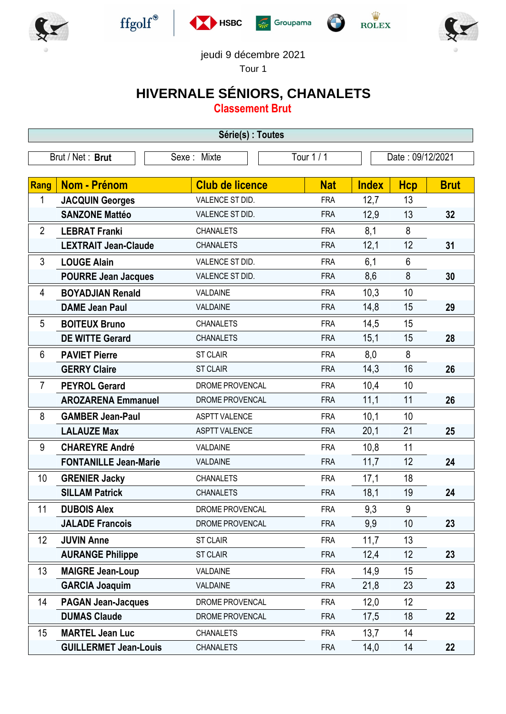











jeudi 9 décembre 2021

Tour 1

## **HIVERNALE SÉNIORS, CHANALETS**

**Classement Brut**

| Série(s) : Toutes |                              |                        |            |                  |                |             |  |
|-------------------|------------------------------|------------------------|------------|------------------|----------------|-------------|--|
|                   | Brut / Net: Brut             | Sexe: Mixte            | Tour 1 / 1 | Date: 09/12/2021 |                |             |  |
| Rang              | <b>Nom - Prénom</b>          | <b>Club de licence</b> | <b>Nat</b> | <b>Index</b>     | <b>Hcp</b>     | <b>Brut</b> |  |
| 1                 | <b>JACQUIN Georges</b>       | VALENCE ST DID.        | <b>FRA</b> | 12,7             | 13             |             |  |
|                   | <b>SANZONE Mattéo</b>        | VALENCE ST DID.        | <b>FRA</b> | 12,9             | 13             | 32          |  |
| $\overline{2}$    | <b>LEBRAT Franki</b>         | <b>CHANALETS</b>       | <b>FRA</b> | 8,1              | 8              |             |  |
|                   | <b>LEXTRAIT Jean-Claude</b>  | <b>CHANALETS</b>       | <b>FRA</b> | 12,1             | 12             | 31          |  |
| 3                 | <b>LOUGE Alain</b>           | VALENCE ST DID.        | <b>FRA</b> | 6,1              | $6\phantom{1}$ |             |  |
|                   | <b>POURRE Jean Jacques</b>   | VALENCE ST DID.        | <b>FRA</b> | 8,6              | 8              | 30          |  |
| 4                 | <b>BOYADJIAN Renald</b>      | VALDAINE               | <b>FRA</b> | 10,3             | 10             |             |  |
|                   | <b>DAME Jean Paul</b>        | VALDAINE               | <b>FRA</b> | 14,8             | 15             | 29          |  |
| 5                 | <b>BOITEUX Bruno</b>         | <b>CHANALETS</b>       | <b>FRA</b> | 14,5             | 15             |             |  |
|                   | <b>DE WITTE Gerard</b>       | <b>CHANALETS</b>       | <b>FRA</b> | 15,1             | 15             | 28          |  |
| 6                 | <b>PAVIET Pierre</b>         | <b>ST CLAIR</b>        | <b>FRA</b> | 8,0              | 8              |             |  |
|                   | <b>GERRY Claire</b>          | <b>ST CLAIR</b>        | <b>FRA</b> | 14,3             | 16             | 26          |  |
| $\overline{7}$    | <b>PEYROL Gerard</b>         | DROME PROVENCAL        | <b>FRA</b> | 10,4             | 10             |             |  |
|                   | <b>AROZARENA Emmanuel</b>    | DROME PROVENCAL        | <b>FRA</b> | 11,1             | 11             | 26          |  |
| 8                 | <b>GAMBER Jean-Paul</b>      | <b>ASPTT VALENCE</b>   | <b>FRA</b> | 10,1             | 10             |             |  |
|                   | <b>LALAUZE Max</b>           | <b>ASPTT VALENCE</b>   | <b>FRA</b> | 20,1             | 21             | 25          |  |
| 9                 | <b>CHAREYRE André</b>        | VALDAINE               | <b>FRA</b> | 10,8             | 11             |             |  |
|                   | <b>FONTANILLE Jean-Marie</b> | VALDAINE               | <b>FRA</b> | 11,7             | 12             | 24          |  |
| 10                | <b>GRENIER Jacky</b>         | <b>CHANALETS</b>       | <b>FRA</b> | 17,1             | 18             |             |  |
|                   | <b>SILLAM Patrick</b>        | <b>CHANALETS</b>       | <b>FRA</b> | 18,1             | 19             | 24          |  |
| 11                | <b>DUBOIS Alex</b>           | DROME PROVENCAL        | <b>FRA</b> | 9,3              | 9              |             |  |
|                   | <b>JALADE Francois</b>       | DROME PROVENCAL        | <b>FRA</b> | 9,9              | 10             | 23          |  |
| 12                | <b>JUVIN Anne</b>            | ST CLAIR               | <b>FRA</b> | 11,7             | 13             |             |  |
|                   | <b>AURANGE Philippe</b>      | <b>ST CLAIR</b>        | <b>FRA</b> | 12,4             | 12             | 23          |  |
| 13                | <b>MAIGRE Jean-Loup</b>      | VALDAINE               | <b>FRA</b> | 14,9             | 15             |             |  |
|                   | <b>GARCIA Joaquim</b>        | VALDAINE               | <b>FRA</b> | 21,8             | 23             | 23          |  |
| 14                | <b>PAGAN Jean-Jacques</b>    | DROME PROVENCAL        | <b>FRA</b> | 12,0             | 12             |             |  |
|                   | <b>DUMAS Claude</b>          | DROME PROVENCAL        | <b>FRA</b> | 17,5             | 18             | 22          |  |
| 15                | <b>MARTEL Jean Luc</b>       | <b>CHANALETS</b>       | <b>FRA</b> | 13,7             | 14             |             |  |
|                   | <b>GUILLERMET Jean-Louis</b> | <b>CHANALETS</b>       | <b>FRA</b> | 14,0             | 14             | 22          |  |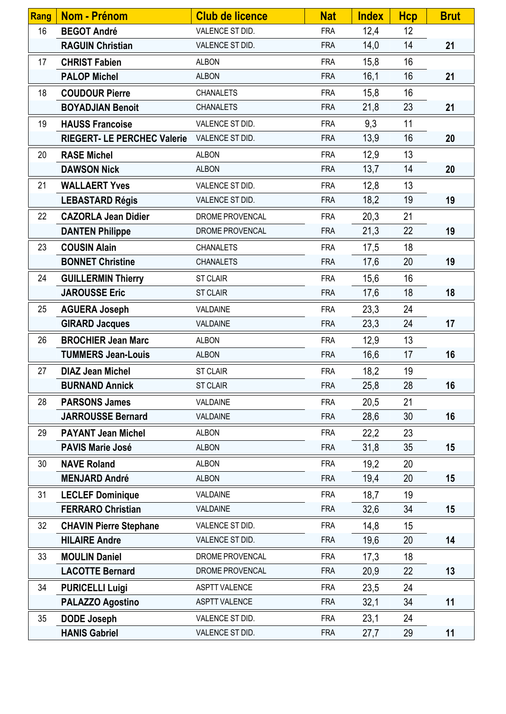| <b>Rang</b> | Nom - Prénom                       | <b>Club de licence</b> | <b>Nat</b> | <b>Index</b> | <b>Hcp</b> | <b>Brut</b> |
|-------------|------------------------------------|------------------------|------------|--------------|------------|-------------|
| 16          | <b>BEGOT André</b>                 | VALENCE ST DID.        | <b>FRA</b> | 12,4         | 12         |             |
|             | <b>RAGUIN Christian</b>            | VALENCE ST DID.        | <b>FRA</b> | 14,0         | 14         | 21          |
| 17          | <b>CHRIST Fabien</b>               | <b>ALBON</b>           | <b>FRA</b> | 15,8         | 16         |             |
|             | <b>PALOP Michel</b>                | <b>ALBON</b>           | <b>FRA</b> | 16,1         | 16         | 21          |
| 18          | <b>COUDOUR Pierre</b>              | <b>CHANALETS</b>       | <b>FRA</b> | 15,8         | 16         |             |
|             | <b>BOYADJIAN Benoit</b>            | <b>CHANALETS</b>       | <b>FRA</b> | 21,8         | 23         | 21          |
| 19          | <b>HAUSS Francoise</b>             | VALENCE ST DID.        | <b>FRA</b> | 9,3          | 11         |             |
|             | <b>RIEGERT- LE PERCHEC Valerie</b> | VALENCE ST DID.        | <b>FRA</b> | 13,9         | 16         | 20          |
| 20          | <b>RASE Michel</b>                 | <b>ALBON</b>           | <b>FRA</b> | 12,9         | 13         |             |
|             | <b>DAWSON Nick</b>                 | <b>ALBON</b>           | <b>FRA</b> | 13,7         | 14         | 20          |
| 21          | <b>WALLAERT Yves</b>               | VALENCE ST DID.        | <b>FRA</b> | 12,8         | 13         |             |
|             | <b>LEBASTARD Régis</b>             | VALENCE ST DID.        | <b>FRA</b> | 18,2         | 19         | 19          |
| 22          | <b>CAZORLA Jean Didier</b>         | DROME PROVENCAL        | <b>FRA</b> | 20,3         | 21         |             |
|             | <b>DANTEN Philippe</b>             | DROME PROVENCAL        | <b>FRA</b> | 21,3         | 22         | 19          |
| 23          | <b>COUSIN Alain</b>                | <b>CHANALETS</b>       | <b>FRA</b> | 17,5         | 18         |             |
|             | <b>BONNET Christine</b>            | <b>CHANALETS</b>       | <b>FRA</b> | 17,6         | 20         | 19          |
| 24          | <b>GUILLERMIN Thierry</b>          | <b>ST CLAIR</b>        | <b>FRA</b> | 15,6         | 16         |             |
|             | <b>JAROUSSE Eric</b>               | <b>ST CLAIR</b>        | <b>FRA</b> | 17,6         | 18         | 18          |
| 25          | <b>AGUERA Joseph</b>               | VALDAINE               | <b>FRA</b> | 23,3         | 24         |             |
|             | <b>GIRARD Jacques</b>              | VALDAINE               | <b>FRA</b> | 23,3         | 24         | 17          |
| 26          | <b>BROCHIER Jean Marc</b>          | <b>ALBON</b>           | <b>FRA</b> | 12,9         | 13         |             |
|             | <b>TUMMERS Jean-Louis</b>          | <b>ALBON</b>           | <b>FRA</b> | 16,6         | 17         | 16          |
| 27          | <b>DIAZ Jean Michel</b>            | <b>ST CLAIR</b>        | <b>FRA</b> | 18,2         | 19         |             |
|             | <b>BURNAND Annick</b>              | <b>ST CLAIR</b>        | <b>FRA</b> | 25,8         | 28         | 16          |
| 28          | <b>PARSONS James</b>               | VALDAINE               | <b>FRA</b> | 20,5         | 21         |             |
|             | <b>JARROUSSE Bernard</b>           | VALDAINE               | <b>FRA</b> | 28,6         | 30         | 16          |
| 29          | <b>PAYANT Jean Michel</b>          | <b>ALBON</b>           | <b>FRA</b> | 22,2         | 23         |             |
|             | <b>PAVIS Marie José</b>            | <b>ALBON</b>           | <b>FRA</b> | 31,8         | 35         | 15          |
| 30          | <b>NAVE Roland</b>                 | <b>ALBON</b>           | <b>FRA</b> | 19,2         | 20         |             |
|             | <b>MENJARD André</b>               | <b>ALBON</b>           | <b>FRA</b> | 19,4         | 20         | 15          |
| 31          | <b>LECLEF Dominique</b>            | VALDAINE               | <b>FRA</b> | 18,7         | 19         |             |
|             | <b>FERRARO Christian</b>           | VALDAINE               | <b>FRA</b> | 32,6         | 34         | 15          |
| 32          | <b>CHAVIN Pierre Stephane</b>      | VALENCE ST DID.        | <b>FRA</b> | 14,8         | 15         |             |
|             | <b>HILAIRE Andre</b>               | VALENCE ST DID.        | <b>FRA</b> | 19,6         | 20         | 14          |
| 33          | <b>MOULIN Daniel</b>               | DROME PROVENCAL        | <b>FRA</b> | 17,3         | 18         |             |
|             | <b>LACOTTE Bernard</b>             | DROME PROVENCAL        | <b>FRA</b> | 20,9         | 22         | 13          |
| 34          | <b>PURICELLI Luigi</b>             | <b>ASPTT VALENCE</b>   | <b>FRA</b> | 23,5         | 24         |             |
|             | <b>PALAZZO Agostino</b>            | ASPTT VALENCE          | <b>FRA</b> | 32,1         | 34         | 11          |
| 35          | <b>DODE Joseph</b>                 | VALENCE ST DID.        | <b>FRA</b> | 23,1         | 24         |             |
|             | <b>HANIS Gabriel</b>               | VALENCE ST DID.        | <b>FRA</b> | 27,7         | 29         | 11          |